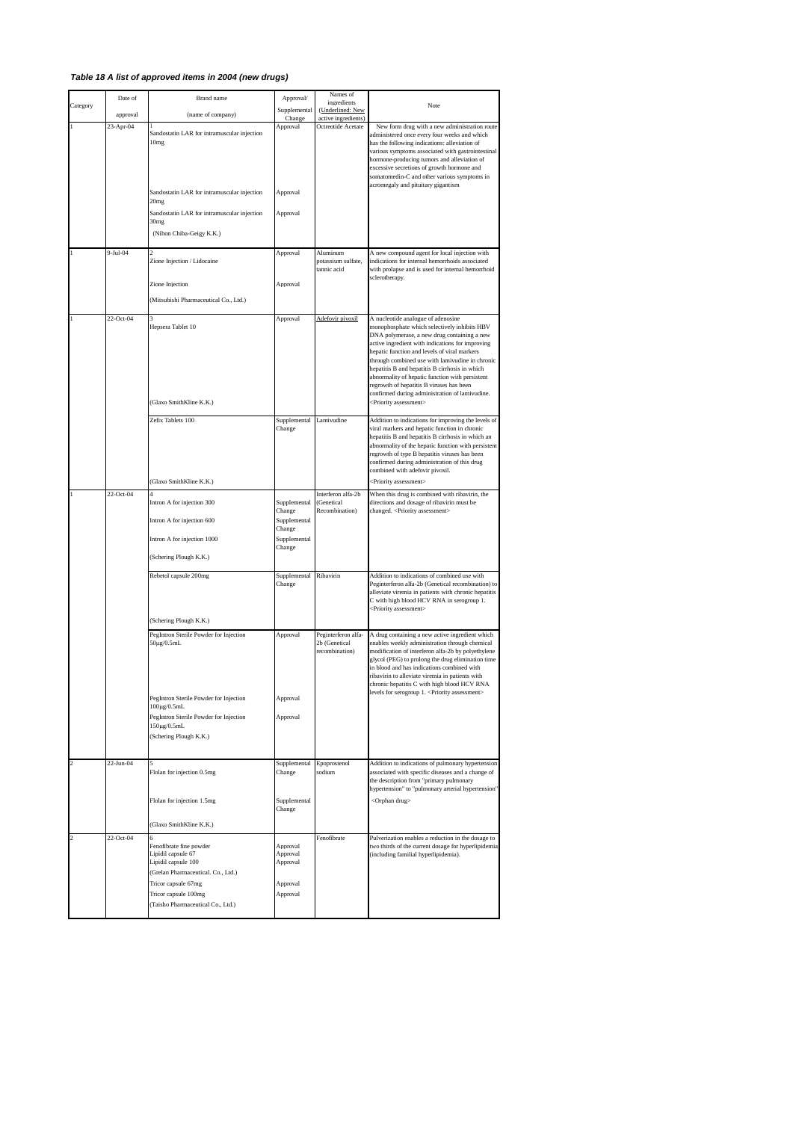## *Table 18 A list of approved items in 2004 (new drugs)*

|                | Date of    | Brand name                                                                                                                                                                                       | Approval/                                                                  | Names of                                               |                                                                                                                                                                                                                                                                                                                                                                                                                                                                                                                                    |
|----------------|------------|--------------------------------------------------------------------------------------------------------------------------------------------------------------------------------------------------|----------------------------------------------------------------------------|--------------------------------------------------------|------------------------------------------------------------------------------------------------------------------------------------------------------------------------------------------------------------------------------------------------------------------------------------------------------------------------------------------------------------------------------------------------------------------------------------------------------------------------------------------------------------------------------------|
| Category       | approval   | (name of company)                                                                                                                                                                                | Supplemental                                                               | ingredients<br>(Underlined: New                        | Note                                                                                                                                                                                                                                                                                                                                                                                                                                                                                                                               |
|                | 23-Apr-04  | Sandostatin LAR for intramuscular injection<br>10mg<br>Sandostatin LAR for intramuscular injection<br>20mg                                                                                       | Chang<br>Approval<br>Approval                                              | active ingredients)<br>Octreotide Acetate              | New form drug with a new administration route<br>dministered once every four weeks and which<br>has the following indications: alleviation of<br>various symptoms associated with gastrointestinal<br>hormone-producing tumors and alleviation of<br>excessive secretions of growth hormone and<br>somatomedin-C and other various symptoms in<br>acromegaly and pituitary gigantism                                                                                                                                               |
|                |            | Sandostatin LAR for intramuscular injection<br>30mg<br>(Nihon Chiba-Geigy K.K.)                                                                                                                  | Approval                                                                   |                                                        |                                                                                                                                                                                                                                                                                                                                                                                                                                                                                                                                    |
| $\mathbf{1}$   | $9-Iul-04$ | 2<br>Zione Injection / Lidocaine                                                                                                                                                                 | Approval                                                                   | Aluminum<br>ootassium sulfate,<br>annic acid           | A new compound agent for local injection with<br>indications for internal hemorrhoids associated<br>with prolapse and is used for internal hemorrhoid<br>sclerotherapy.                                                                                                                                                                                                                                                                                                                                                            |
|                |            | Zione Injection<br>Mitsubishi Pharmaceutical Co., Ltd.)                                                                                                                                          | Approval                                                                   |                                                        |                                                                                                                                                                                                                                                                                                                                                                                                                                                                                                                                    |
| $\mathbf{1}$   | 22-Oct-04  | Hepsera Tablet 10<br>Glaxo SmithKline K.K.)                                                                                                                                                      | Approval                                                                   | Adefovir pivoxil                                       | A nucleotide analogue of adenosine<br>monophosphate which selectively inhibits HBV<br>DNA polymerase, a new drug containing a new<br>active ingredient with indications for improving<br>hepatic function and levels of viral markers<br>through combined use with lamivudine in chronic<br>hepatitis B and hepatitis B cirrhosis in which<br>abnormality of hepatic function with persistent<br>regrowth of hepatitis B viruses has been<br>confirmed during administration of lamivudine.<br><priority assessment=""></priority> |
|                |            | Zefix Tablets 100<br>(Glaxo SmithKline K.K.)                                                                                                                                                     | Supplemental<br>Change                                                     | Lamivudine                                             | Addition to indications for improving the levels of<br>viral markers and hepatic function in chronic<br>hepatitis B and hepatitis B cirrhosis in which an<br>abnormality of the hepatic function with persistent<br>regrowth of type B hepatitis viruses has been<br>confirmed during administration of this drug<br>combined with adefovir pivoxil.<br><priority assessment=""></priority>                                                                                                                                        |
| $\mathbf{1}$   | 22-Oct-04  | Intron A for injection 300<br>Intron A for injection 600<br>Intron A for injection 1000                                                                                                          | Supplemental<br>Change<br>Supplemental<br>Change<br>Supplemental<br>Change | Interferon alfa-2b<br>Genetical<br>Recombination)      | When this drug is combined with ribavirin, the<br>directions and dosage of ribavirin must be<br>changed. <priority assessment=""></priority>                                                                                                                                                                                                                                                                                                                                                                                       |
|                |            | (Schering Plough K.K.)<br>Rebetol capsule 200mg<br>(Schering Plough K.K.)                                                                                                                        | Supplemental<br>Change                                                     | Ribavirin                                              | Addition to indications of combined use with<br>Peginterferon alfa-2b (Genetical recombination) to<br>alleviate viremia in patients with chronic hepatitis<br>C with high blood HCV RNA in serogroup 1.<br><priority assessment=""></priority>                                                                                                                                                                                                                                                                                     |
|                |            | PegIntron Sterile Powder for Injection<br>50μg/0.5mL<br>PegIntron Sterile Powder for Injection<br>100μg/0.5mL<br>PegIntron Sterile Powder for Injection<br>150µg/0.5mL<br>(Schering Plough K.K.) | Approval<br>Approval<br>Approval                                           | Peginterferon alfa-<br>2b (Genetical<br>recombination) | A drug containing a new active ingredient which<br>enables weekly administration through chemical<br>modification of interferon alfa-2b by polyethylene<br>glycol (PEG) to prolong the drug elimination time<br>in blood and has indications combined with<br>ribavirin to alleviate viremia in patients with<br>chronic hepatitis C with high blood HCV RNA<br>levels for serogroup 1. < Priority assessment>                                                                                                                     |
| $\overline{c}$ | 22-Jun-04  | Flolan for injection 0.5mg<br>Flolan for injection 1.5mg<br>(Glaxo SmithKline K.K.)                                                                                                              | Supplemental<br>Change<br>Supplemental<br>Change                           | Epoprostenol<br>sodium                                 | Addition to indications of pulmonary hypertension<br>associated with specific diseases and a change of<br>the description from "primary pulmonary<br>hypertension" to "pulmonary arterial hypertension"<br><orphan drug=""></orphan>                                                                                                                                                                                                                                                                                               |
| $\overline{c}$ | 22-Oct-04  | Fenofibrate fine powder<br>Lipidil capsule 67<br>Lipidil capsule 100<br>(Grelan Pharmaceutical. Co., Ltd.)<br>Tricor capsule 67mg<br>Tricor capsule 100mg<br>(Taisho Pharmaceutical Co., Ltd.)   | Approval<br>Approval<br>Approval<br>Approval<br>Approval                   | Fenofibrate                                            | Pulverization enables a reduction in the dosage to<br>two thirds of the current dosage for hyperlipidemia<br>(including familial hyperlipidemia).                                                                                                                                                                                                                                                                                                                                                                                  |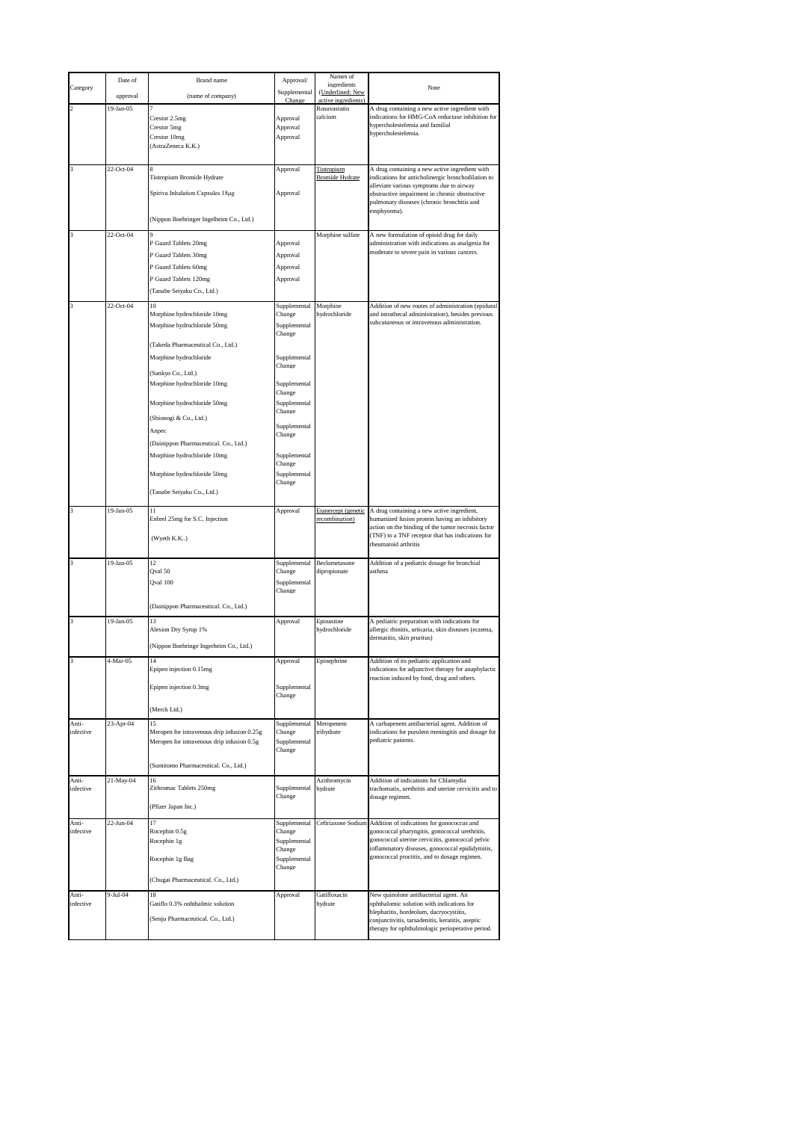|                    | Date of      | Brand name                                  | Approval/              | Names of<br>ingredients                 |                                                                                                         |
|--------------------|--------------|---------------------------------------------|------------------------|-----------------------------------------|---------------------------------------------------------------------------------------------------------|
| Category           | approval     | (name of company)                           | Supplemental<br>Change | (Underlined: New<br>active ingredients) | Note                                                                                                    |
| $\overline{c}$     | 19-Jan-05    | Crestor 2.5mg                               | Approval               | Rosuvastatin<br>calcium                 | A drug containing a new active ingredient with<br>indications for HMG-CoA reductase inhibition for      |
|                    |              | Crestor 5mg                                 | Approval               |                                         | hypercholestelemia and familial<br>hypercholestelemia.                                                  |
|                    |              | Crestor 10mg<br>(AstraZeneca K.K.)          | Approval               |                                         |                                                                                                         |
|                    |              |                                             |                        |                                         |                                                                                                         |
| 3                  | $22$ -Oct-04 | Tiotropium Bromide Hydrate                  | Approval               | Tiotropium<br><b>Bromide Hydrate</b>    | A drug containing a new active ingredient with<br>indications for anticholinergic bronchodilation to    |
|                    |              | Spiriva Inhalation Capsules 18µg            | Approval               |                                         | alleviate various symptoms due to airway<br>obstructive impairment in chronic obstructive               |
|                    |              |                                             |                        |                                         | pulmonary diseases (chronic bronchitis and<br>emphysema).                                               |
|                    |              | (Nippon Boehringer Ingelheim Co., Ltd.)     |                        |                                         |                                                                                                         |
| 3                  | 22-Oct-04    | P Guard Tablets 20mg                        | Approval               | Morphine sulfate                        | A new formulation of opioid drug for daily<br>administration with indications as analgesia for          |
|                    |              | P Guard Tablets 30mg                        | Approval               |                                         | moderate to severe pain in various cancers.                                                             |
|                    |              | P Guard Tablets 60mg                        | Approval               |                                         |                                                                                                         |
|                    |              | P Guard Tablets 120mg                       | Approval               |                                         |                                                                                                         |
|                    |              | (Tanabe Seiyaku Co., Ltd.)                  |                        |                                         |                                                                                                         |
| 3                  | 22-Oct-04    | 10<br>Morphine hydrochloride 10mg           | Supplemental<br>Change | Morphine<br>hydrochloride               | Addition of new routes of administration (epidural<br>and intrathecal administration), besides previous |
|                    |              | Morphine hydrochloride 50mg                 | Supplemental<br>Change |                                         | subcutaneous or intravenous administration.                                                             |
|                    |              | (Takeda Pharmaceutical Co., Ltd.)           |                        |                                         |                                                                                                         |
|                    |              | Morphine hydrochloride                      | Supplemental           |                                         |                                                                                                         |
|                    |              | Sankyo Co., Ltd.)                           | Change                 |                                         |                                                                                                         |
|                    |              | Morphine hydrochloride 10mg                 | Supplemental<br>Change |                                         |                                                                                                         |
|                    |              | Morphine hydrochloride 50mg                 | Supplemental           |                                         |                                                                                                         |
|                    |              | (Shionogi & Co., Ltd.)                      | Change                 |                                         |                                                                                                         |
|                    |              | Anpec                                       | Supplemental<br>Change |                                         |                                                                                                         |
|                    |              | (Dainippon Pharmaceutical. Co., Ltd.)       |                        |                                         |                                                                                                         |
|                    |              | Morphine hydrochloride 10mg                 | Supplemental<br>Change |                                         |                                                                                                         |
|                    |              | Morphine hydrochloride 50mg                 | Supplemental<br>Change |                                         |                                                                                                         |
|                    |              | (Tanabe Seiyaku Co., Ltd.)                  |                        |                                         |                                                                                                         |
| 3                  | 19-Jan-05    | 11                                          | Approval               | Etanercept (genetic                     | A drug containing a new active ingredient,                                                              |
|                    |              |                                             |                        |                                         |                                                                                                         |
|                    |              | Enbrel 25mg for S.C. Injection              |                        | recombination)                          | humanized fusion protein having an inhibitory<br>action on the binding of the tumor necrosis factor     |
|                    |              | (Wyeth K.K)                                 |                        |                                         | (TNF) to a TNF receptor that has indications for<br>rheumatoid arthritis                                |
| 3                  | 19-Jan-05    | 12                                          | Supplemental           | Beclometasone                           | Addition of a pediatric dosage for bronchial                                                            |
|                    |              | Qval 50<br>Qval 100                         | Change                 | dipropionate                            | asthma                                                                                                  |
|                    |              |                                             | Supplemental<br>Change |                                         |                                                                                                         |
|                    |              | (Dainippon Pharmaceutical. Co., Ltd.)       |                        |                                         |                                                                                                         |
| 3                  | 19-Jan-05    | 13<br>Alesion Dry Syrup 1%                  | Approval               | Epinastine<br>hydrochloride             | A pediatric preparation with indications for<br>allergic rhinitis, urticaria, skin diseases (eczema,    |
|                    |              |                                             |                        |                                         | dermatitis, skin pruritus)                                                                              |
| 3                  | 4-Mar-05     | Nippon Boehringe Ingerheim Co., Ltd.)<br>14 | Approval               | Epinephrine                             | Addition of its pediatric application and                                                               |
|                    |              | pipen injection 0.15mg                      |                        |                                         | indications for adjunctive therapy for anaphylactic<br>reaction induced by food, drug and others.       |
|                    |              | Epipen injection 0.3mg                      | Supplemental           |                                         |                                                                                                         |
|                    |              | (Merck Ltd.)                                | Change                 |                                         |                                                                                                         |
| Anti-              | 23-Apr-04    | 15                                          | Supplemental           | Meropenem                               | A carbapenem antibacterial agent. Addition of                                                           |
| infective          |              | Meropen for intravenous drip infusion 0.25g | Change                 | trihydrate                              | indications for purulent meningitis and dosage for<br>pediatric patients.                               |
|                    |              | Meropen for intravenous drip infusion 0.5g  | Supplemental<br>Change |                                         |                                                                                                         |
|                    |              | (Sumitomo Pharmaceutical. Co., Ltd.)        |                        |                                         |                                                                                                         |
| Anti-              | 21-May-04    | 16                                          |                        | Azithromycin                            | Addition of indications for Chlamydia                                                                   |
| infective          |              | Zithromac Tablets 250mg                     | Supplemental<br>Change | hydrate                                 | trachomatis, urethritis and uterine cervicitis and to<br>dosage regimen.                                |
|                    |              | (Pfizer Japan Inc.)                         |                        |                                         |                                                                                                         |
| Anti-<br>infective | 22-Jun-04    | 17<br>Rocephin 0.5g                         | Supplemental<br>Change | Ceftriaxone Sodium                      | Addition of indications for gonococcus and<br>gonococcal pharyngitis, gonococcal urethritis,            |
|                    |              | Rocephin 1g                                 | Supplemental<br>Change |                                         | gonococcal uterine cervicitis, gonococcal pelvic<br>inflammatory diseases, gonococcal epididymitis,     |
|                    |              | Rocephin 1g Bag                             | Supplemental           |                                         | gonococcal proctitis, and to dosage regimen.                                                            |
|                    |              | (Chugai Pharmaceutical. Co., Ltd.)          | Change                 |                                         |                                                                                                         |
| Anti-              | 9-Jul-04     | 18                                          | Approval               | Gatifloxacin                            | New quinolone antibacterial agent. An                                                                   |
| infective          |              | Gatiflo 0.3% ophthalmic solution            |                        | hydrate                                 | ophthalomic solution with indications for<br>blepharitis, hordeolum, dacryocystitis,                    |
|                    |              | (Senju Pharmaceutical. Co., Ltd.)           |                        |                                         | conjunctivitis, tarsadenitis, keratitis, aseptic<br>therapy for ophthalmologic perioperative period.    |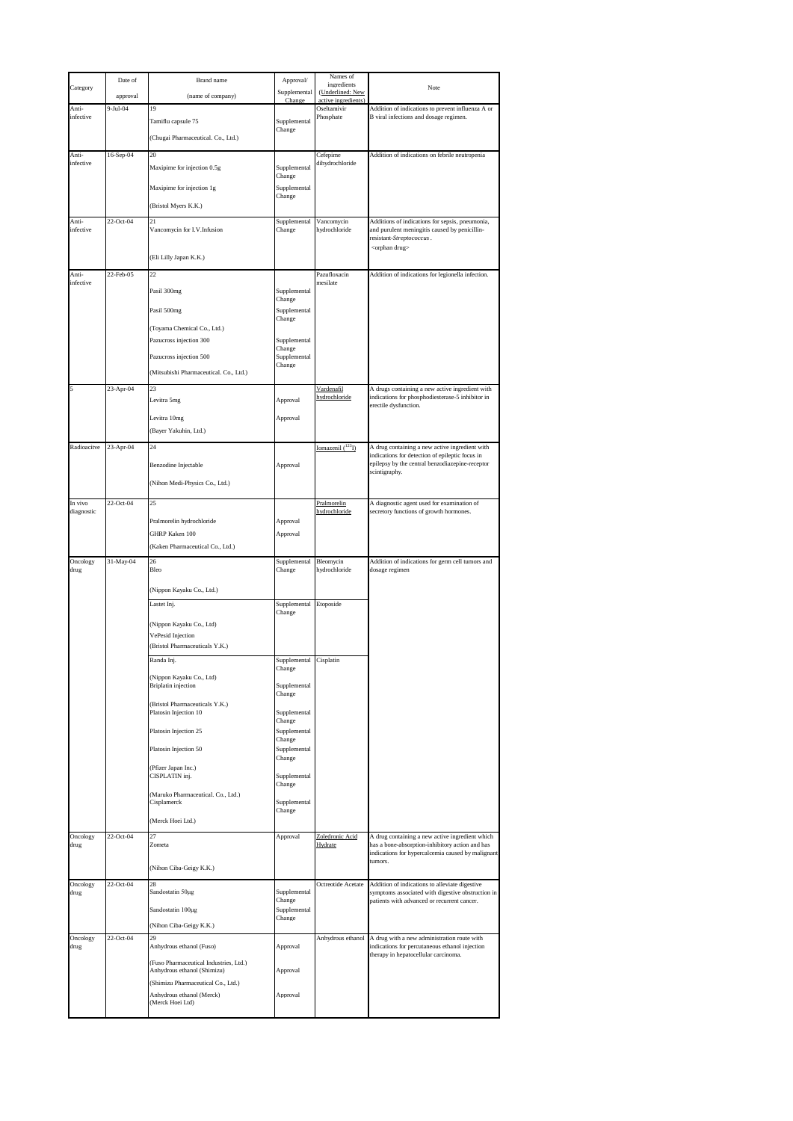|                    | Date of    | Brand name                                                            | Approval/              | Names of<br>ingredients                 |                                                                                                                              |
|--------------------|------------|-----------------------------------------------------------------------|------------------------|-----------------------------------------|------------------------------------------------------------------------------------------------------------------------------|
| Category           | approval   | (name of company)                                                     | Supplemental<br>Change | (Underlined: New<br>active ingredients) | Note                                                                                                                         |
| Anti-<br>infective | $9-Jul-04$ | 19                                                                    |                        | Oseltamivir<br>Phosphate                | Addition of indications to prevent influenza A or<br>B viral infections and dosage regimen.                                  |
|                    |            | Tamiflu capsule 75                                                    | Supplemental<br>Change |                                         |                                                                                                                              |
|                    |            | (Chugai Pharmaceutical. Co., Ltd.)                                    |                        |                                         |                                                                                                                              |
| Anti-<br>infective | 16-Sep-04  | 20<br>Maxipime for injection 0.5g                                     | Supplemental           | Cefepime<br>dihydrochloride             | Addition of indications on febrile neutropenia                                                                               |
|                    |            |                                                                       | Change                 |                                         |                                                                                                                              |
|                    |            | Maxipime for injection 1g                                             | Supplemental<br>Change |                                         |                                                                                                                              |
|                    | 22-Oct-04  | (Bristol Myers K.K.)<br>21                                            |                        | Vancomycin                              |                                                                                                                              |
| Anti-<br>infective |            | Vancomycin for I.V. Infusion                                          | Supplemental<br>Change | hydrochloride                           | Additions of indications for sepsis, pneumonia,<br>and purulent meningitis caused by penicillin-<br>resistant-Streptococcus. |
|                    |            |                                                                       |                        |                                         | <orphan drug=""></orphan>                                                                                                    |
|                    |            | (Eli Lilly Japan K.K.)                                                |                        |                                         |                                                                                                                              |
| Anti-<br>infective | 22-Feb-05  | 22                                                                    |                        | Pazufloxacin<br>mesilate                | Addition of indications for legionella infection.                                                                            |
|                    |            | Pasil 300mg                                                           | Supplemental<br>Change |                                         |                                                                                                                              |
|                    |            | Pasil 500mg                                                           | Supplemental<br>Change |                                         |                                                                                                                              |
|                    |            | (Toyama Chemical Co., Ltd.)<br>Pazucross injection 300                |                        |                                         |                                                                                                                              |
|                    |            |                                                                       | Supplemental<br>Change |                                         |                                                                                                                              |
|                    |            | Pazucross injection 500<br>(Mitsubishi Pharmaceutical. Co., Ltd.)     | Supplemental<br>Change |                                         |                                                                                                                              |
| 5                  | 23-Apr-04  | 23                                                                    |                        | Vardenafil                              | A drugs containing a new active ingredient with                                                                              |
|                    |            | Levitra 5mg                                                           | Approval               | hydrochloride                           | indications for phosphodiesterase-5 inhibitor in<br>erectile dysfunction.                                                    |
|                    |            | Levitra 10mg                                                          | Approval               |                                         |                                                                                                                              |
|                    |            | (Bayer Yakuhin, Ltd.)                                                 |                        |                                         |                                                                                                                              |
| Radioacitve        | 23-Apr-04  | 24                                                                    |                        | Iomazenil (123 <sub>I)</sub>            | A drug containing a new active ingredient with<br>indications for detection of epileptic focus in                            |
|                    |            | Benzodine Injectable                                                  | Approval               |                                         | epilepsy by the central benzodiazepine-receptor<br>scintigraphy.                                                             |
|                    |            | (Nihon Medi-Physics Co., Ltd.)                                        |                        |                                         |                                                                                                                              |
| In vivo            | 22-Oct-04  | 25                                                                    |                        | Pralmorelin                             | A diagnostic agent used for examination of                                                                                   |
| diagnostic         |            | Pralmorelin hydrochloride                                             | Approval               | hydrochloride                           | secretory functions of growth hormones.                                                                                      |
|                    |            | GHRP Kaken 100                                                        | Approval               |                                         |                                                                                                                              |
|                    |            | (Kaken Pharmaceutical Co., Ltd.)                                      |                        |                                         |                                                                                                                              |
| Oncology<br>drug   | 31-May-04  | 26<br>Bleo                                                            | Supplemental<br>Change | Bleomycin<br>hydrochloride              | Addition of indications for germ cell tumors and<br>dosage regimen                                                           |
|                    |            | (Nippon Kayaku Co., Ltd.)                                             |                        |                                         |                                                                                                                              |
|                    |            | Lastet Inj.                                                           | Supplemental<br>Change | Etoposide                               |                                                                                                                              |
|                    |            | (Nippon Kayaku Co., Ltd)                                              |                        |                                         |                                                                                                                              |
|                    |            | VePesid Injection<br>(Bristol Pharmaceuticals Y.K.)                   |                        |                                         |                                                                                                                              |
|                    |            | Randa Inj.                                                            | Supplemental           | Cisplatin                               |                                                                                                                              |
|                    |            | (Nippon Kayaku Co., Ltd)                                              | <sub>-</sub> mange     |                                         |                                                                                                                              |
|                    |            | <b>Briplatin</b> injection                                            | Supplemental<br>Change |                                         |                                                                                                                              |
|                    |            | (Bristol Pharmaceuticals Y.K.)<br>Platosin Injection 10               | Supplemental           |                                         |                                                                                                                              |
|                    |            | Platosin Injection 25                                                 | Change<br>Supplemental |                                         |                                                                                                                              |
|                    |            | Platosin Injection 50                                                 | Change<br>Supplemental |                                         |                                                                                                                              |
|                    |            |                                                                       | Change                 |                                         |                                                                                                                              |
|                    |            | (Pfizer Japan Inc.)<br>CISPLATIN inj.                                 | Supplemental<br>Change |                                         |                                                                                                                              |
|                    |            | (Maruko Pharmaceutical. Co., Ltd.)<br>Cisplamerck                     | Supplemental           |                                         |                                                                                                                              |
|                    |            |                                                                       | Change                 |                                         |                                                                                                                              |
| Oncology           | 22-Oct-04  | (Merck Hoei Ltd.)<br>27                                               | Approval               | Zoledronic Acid                         | A drug containing a new active ingredient which                                                                              |
| drug               |            | Zometa                                                                |                        | Hydrate                                 | has a bone-absorption-inhibitory action and has<br>indications for hypercalcemia caused by malignant                         |
|                    |            | (Nihon Ciba-Geigy K.K.)                                               |                        |                                         | tumors.                                                                                                                      |
| Oncology           | 22-Oct-04  | 28                                                                    |                        | Octreotide Acetate                      | Addition of indications to alleviate digestive                                                                               |
| drug               |            | Sandostatin 50µg                                                      | Supplemental<br>Change |                                         | symptoms associated with digestive obstruction in<br>patients with advanced or recurrent cancer.                             |
|                    |            | Sandostatin 100µg                                                     | Supplemental<br>Change |                                         |                                                                                                                              |
| Oncology           | 22-Oct-04  | (Nihon Ciba-Geigy K.K.)<br>29                                         |                        | Anhydrous ethanol                       | A drug with a new administration route with                                                                                  |
| drug               |            | Anhydrous ethanol (Fuso)                                              | Approval               |                                         | indications for percutaneous ethanol injection<br>therapy in hepatocellular carcinoma.                                       |
|                    |            | (Fuso Pharmaceutical Industries, Ltd.)<br>Anhydrous ethanol (Shimizu) | Approval               |                                         |                                                                                                                              |
|                    |            | (Shimizu Pharmaceutical Co., Ltd.)                                    |                        |                                         |                                                                                                                              |
|                    |            | Anhydrous ethanol (Merck)<br>(Merck Hoei Ltd)                         | Approval               |                                         |                                                                                                                              |
|                    |            |                                                                       |                        |                                         |                                                                                                                              |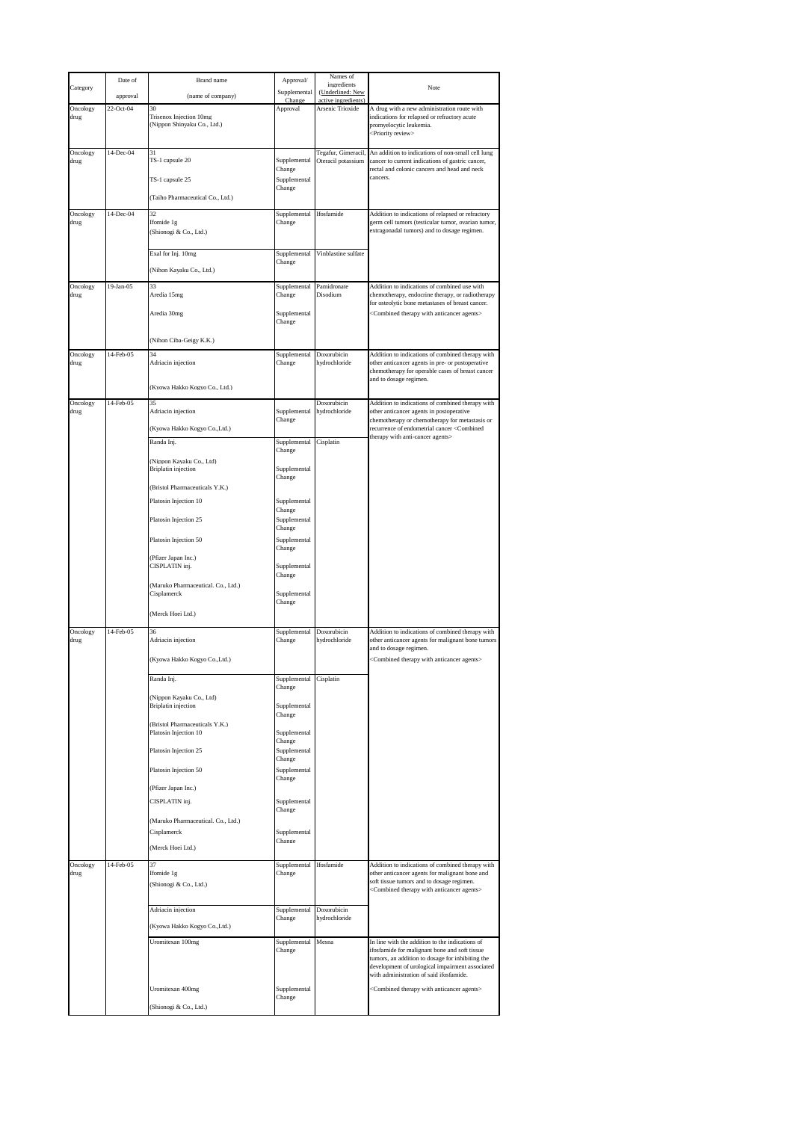| Category         | Date of   | Brand name                                                   | Approval/              | Names of<br>ingredients                   | Note                                                                                                                                                                                                                                               |
|------------------|-----------|--------------------------------------------------------------|------------------------|-------------------------------------------|----------------------------------------------------------------------------------------------------------------------------------------------------------------------------------------------------------------------------------------------------|
|                  | approval  | (name of company)                                            | Supplemental<br>Change | (Underlined: New<br>active ingredients)   |                                                                                                                                                                                                                                                    |
| Oncology<br>drug | 22-Oct-04 | 30<br>Trisenox Injection 10mg<br>(Nippon Shinyaku Co., Ltd.) | Approval               | Arsenic Trioxide                          | A drug with a new administration route with<br>indications for relapsed or refractory acute<br>promyelocytic leukemia.<br><priority review=""></priority>                                                                                          |
| Oncology<br>drug | 14-Dec-04 | 31<br>TS-1 capsule 20                                        | Supplemental           | Tegafur, Gimeracil,<br>Oteracil potassium | An addition to indications of non-small cell lung<br>cancer to current indications of gastric cancer,                                                                                                                                              |
|                  |           | TS-1 capsule 25                                              | Change<br>Supplemental |                                           | rectal and colonic cancers and head and neck<br>cancers.                                                                                                                                                                                           |
|                  |           | (Taiho Pharmaceutical Co., Ltd.)                             | Change                 |                                           |                                                                                                                                                                                                                                                    |
| Oncology         | 14-Dec-04 | 32                                                           | Supplemental           | Ifosfamide                                | Addition to indications of relapsed or refractory                                                                                                                                                                                                  |
| drug             |           | Ifomide 1g<br>(Shionogi & Co., Ltd.)                         | Change                 |                                           | germ cell tumors (testicular tumor, ovarian tumor,<br>extragonadal tumors) and to dosage regimen.                                                                                                                                                  |
|                  |           | Exal for Inj. 10mg<br>(Nihon Kayaku Co., Ltd.)               | Supplemental<br>Change | Vinblastine sulfate                       |                                                                                                                                                                                                                                                    |
| Oncology<br>drug | 19-Jan-05 | 33<br>Aredia 15mg                                            | Supplemental<br>Change | Pamidronate<br>Disodium                   | Addition to indications of combined use with<br>chemotherapy, endocrine therapy, or radiotherapy                                                                                                                                                   |
|                  |           | Aredia 30mg                                                  | Supplemental           |                                           | for osteolytic bone metastases of breast cancer.<br><combined agents="" anticancer="" therapy="" with=""></combined>                                                                                                                               |
|                  |           | (Nihon Ciba-Geigy K.K.)                                      | Change                 |                                           |                                                                                                                                                                                                                                                    |
| Oncology<br>drug | 14-Feb-05 | 34<br>Adriacin injection                                     | Supplemental<br>Change | Doxorubicin<br>hydrochloride              | Addition to indications of combined therapy with<br>other anticancer agents in pre- or postoperative                                                                                                                                               |
|                  |           | (Kyowa Hakko Kogyo Co., Ltd.)                                |                        |                                           | chemotherapy for operable cases of breast cancer<br>and to dosage regimen.                                                                                                                                                                         |
| Oncology<br>drug | 14-Feb-05 | 35<br>Adriacin injection                                     | Supplemental           | Doxorubicin<br>hydrochloride              | Addition to indications of combined therapy with<br>other anticancer agents in postoperative                                                                                                                                                       |
|                  |           | (Kyowa Hakko Kogyo Co., Ltd.)                                | Change                 |                                           | chemotherapy or chemotherapy for metastasis or<br>recurrence of endometrial cancer <combined< td=""></combined<>                                                                                                                                   |
|                  |           | Randa Inj.                                                   | Supplemental<br>Change | Cisplatin                                 | therapy with anti-cancer agents>                                                                                                                                                                                                                   |
|                  |           | (Nippon Kayaku Co., Ltd)                                     |                        |                                           |                                                                                                                                                                                                                                                    |
|                  |           | <b>Briplatin</b> injection                                   | Supplemental<br>Change |                                           |                                                                                                                                                                                                                                                    |
|                  |           | (Bristol Pharmaceuticals Y.K.)<br>Platosin Injection 10      | Supplemental           |                                           |                                                                                                                                                                                                                                                    |
|                  |           | Platosin Injection 25                                        | Change<br>Supplemental |                                           |                                                                                                                                                                                                                                                    |
|                  |           | Platosin Injection 50                                        | Change<br>Supplemental |                                           |                                                                                                                                                                                                                                                    |
|                  |           | (Pfizer Japan Inc.)                                          | Change                 |                                           |                                                                                                                                                                                                                                                    |
|                  |           | CISPLATIN inj.                                               | Supplemental<br>Change |                                           |                                                                                                                                                                                                                                                    |
|                  |           | (Maruko Pharmaceutical. Co., Ltd.)<br>Cisplamerck            | Supplemental<br>Change |                                           |                                                                                                                                                                                                                                                    |
|                  |           | Merck Hoei Ltd.)                                             |                        |                                           |                                                                                                                                                                                                                                                    |
| Oncology<br>drug | 14-Feb-05 | 36<br>Adriacin injection                                     | Supplemental<br>Change | Doxorubicin<br>hydrochloride              | Addition to indications of combined therapy with<br>other anticancer agents for malignant bone tumors                                                                                                                                              |
|                  |           | (Kyowa Hakko Kogyo Co., Ltd.)                                |                        |                                           | and to dosage regimen.<br><combined agents="" anticancer="" therapy="" with=""></combined>                                                                                                                                                         |
|                  |           | Randa Inj.                                                   | Supplemental<br>Change | Cisplatin                                 |                                                                                                                                                                                                                                                    |
|                  |           | (Nippon Kayaku Co., Ltd)<br><b>Briplatin</b> injection       | Supplemental           |                                           |                                                                                                                                                                                                                                                    |
|                  |           | (Bristol Pharmaceuticals Y.K.)<br>Platosin Injection 10      | Change<br>Supplemental |                                           |                                                                                                                                                                                                                                                    |
|                  |           | Platosin Injection 25                                        | Change<br>Supplemental |                                           |                                                                                                                                                                                                                                                    |
|                  |           |                                                              | Change                 |                                           |                                                                                                                                                                                                                                                    |
|                  |           | Platosin Injection 50                                        | Supplemental<br>Change |                                           |                                                                                                                                                                                                                                                    |
|                  |           | (Pfizer Japan Inc.)<br>CISPLATIN inj.                        | Supplemental<br>Change |                                           |                                                                                                                                                                                                                                                    |
|                  |           | (Maruko Pharmaceutical. Co., Ltd.)<br>Cisplamerck            | Supplemental           |                                           |                                                                                                                                                                                                                                                    |
|                  |           | (Merck Hoei Ltd.)                                            | Change                 |                                           |                                                                                                                                                                                                                                                    |
| Oncology         | 14-Feb-05 | 37                                                           | Supplemental           | Ifosfamide                                | Addition to indications of combined therapy with                                                                                                                                                                                                   |
| drug             |           | Ifomide 1g<br>(Shionogi & Co., Ltd.)                         | Change                 |                                           | other anticancer agents for malignant bone and<br>soft tissue tumors and to dosage regimen.<br><combined agents="" anticancer="" therapy="" with=""></combined>                                                                                    |
|                  |           | Adriacin injection                                           | Supplemental           | Doxorubicin                               |                                                                                                                                                                                                                                                    |
|                  |           | (Kyowa Hakko Kogyo Co., Ltd.)                                | Change                 | hydrochloride                             |                                                                                                                                                                                                                                                    |
|                  |           | Uromitexan 100mg                                             | Supplemental<br>Change | Mesna                                     | In line with the addition to the indications of<br>ifosfamide for malignant bone and soft tissue<br>tumors, an addition to dosage for inhibiting the<br>development of urological impairment associated<br>with administration of said ifosfamide. |
|                  |           | Uromitexan 400mg                                             | Supplemental           |                                           | <combined agents="" anticancer="" therapy="" with=""></combined>                                                                                                                                                                                   |
|                  |           | Shionogi & Co., Ltd.)                                        | Change                 |                                           |                                                                                                                                                                                                                                                    |
|                  |           |                                                              |                        |                                           |                                                                                                                                                                                                                                                    |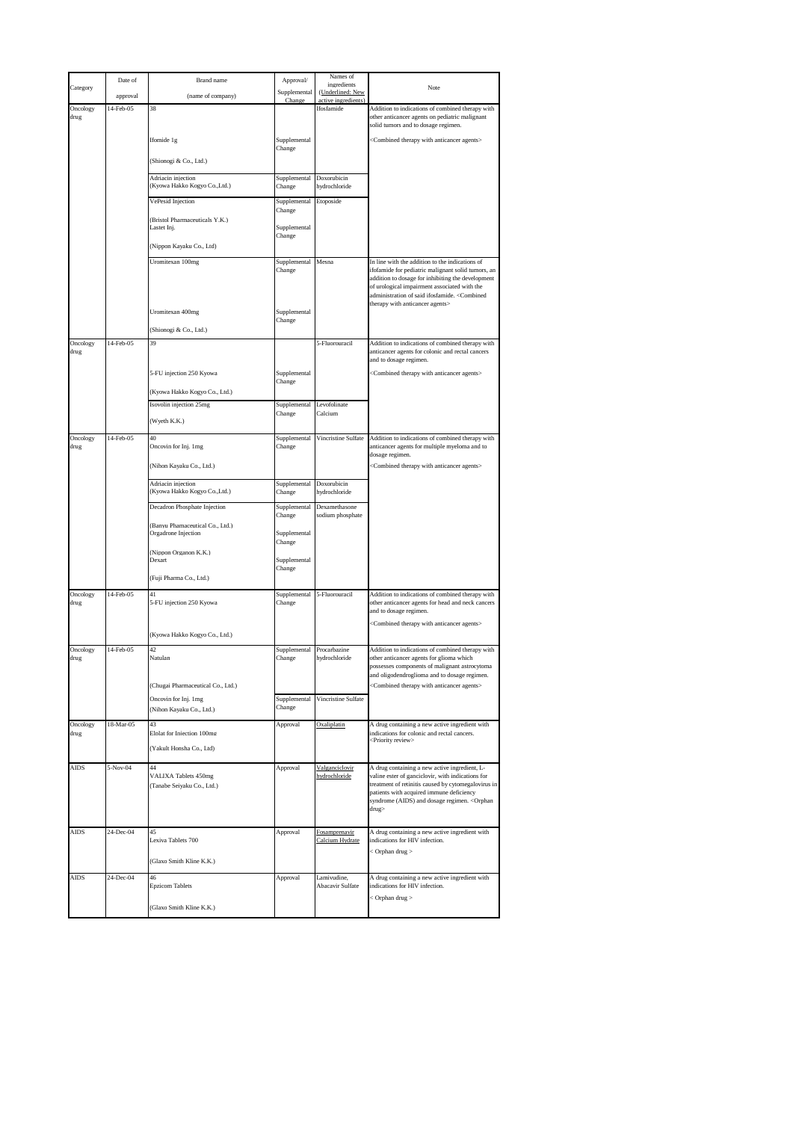| Category         | Date of   | Brand name                                             | Approval/              | Names of<br>ingredients                 | Note                                                                                                                                                                                                                                                        |
|------------------|-----------|--------------------------------------------------------|------------------------|-----------------------------------------|-------------------------------------------------------------------------------------------------------------------------------------------------------------------------------------------------------------------------------------------------------------|
|                  | approval  | (name of company)                                      | Supplemental<br>Change | (Underlined: New<br>active ingredients) |                                                                                                                                                                                                                                                             |
| Oncology<br>drug | 14-Feb-05 | 38                                                     |                        | Ifosfamide                              | Addition to indications of combined therapy with<br>other anticancer agents on pediatric malignant<br>solid tumors and to dosage regimen.                                                                                                                   |
|                  |           | Ifomide 1g                                             | Supplemental<br>Change |                                         | <combined agents="" anticancer="" therapy="" with=""></combined>                                                                                                                                                                                            |
|                  |           | (Shionogi & Co., Ltd.)                                 |                        |                                         |                                                                                                                                                                                                                                                             |
|                  |           | Adriacin injection<br>(Kyowa Hakko Kogyo Co., Ltd.)    | Supplemental<br>Change | Doxorubicin<br>hydrochloride            |                                                                                                                                                                                                                                                             |
|                  |           | VePesid Injection                                      | Supplemental<br>Change | Etoposide                               |                                                                                                                                                                                                                                                             |
|                  |           | (Bristol Pharmaceuticals Y.K.)<br>Lastet Inj.          | Supplemental<br>Change |                                         |                                                                                                                                                                                                                                                             |
|                  |           | (Nippon Kayaku Co., Ltd)                               |                        |                                         |                                                                                                                                                                                                                                                             |
|                  |           | Uromitexan 100mg                                       | Supplemental<br>Change | Mesna                                   | In line with the addition to the indications of<br>ifofamide for pediatric malignant solid tumors, an<br>addition to dosage for inhibiting the development<br>of urological impairment associated with the<br>administration of said ifosfamide. < Combined |
|                  |           | Uromitexan 400mg                                       | Supplemental           |                                         | therapy with anticancer agents>                                                                                                                                                                                                                             |
|                  |           | (Shionogi & Co., Ltd.)                                 | Change                 |                                         |                                                                                                                                                                                                                                                             |
| Oncology<br>drug | 14-Feb-05 | 39                                                     |                        | 5-Fluorouracil                          | Addition to indications of combined therapy with<br>anticancer agents for colonic and rectal cancers<br>and to dosage regimen.                                                                                                                              |
|                  |           | 5-FU injection 250 Kyowa                               | Supplemental<br>Change |                                         | <combined agents="" anticancer="" therapy="" with=""></combined>                                                                                                                                                                                            |
|                  |           | (Kyowa Hakko Kogyo Co., Ltd.)                          |                        |                                         |                                                                                                                                                                                                                                                             |
|                  |           | Isovolin injection 25mg<br>(Wyeth K.K.)                | Supplemental<br>Change | Levofolinate<br>Calcium                 |                                                                                                                                                                                                                                                             |
| Oncology         | 14-Feb-05 | 40                                                     | Supplemental           | Vincristine Sulfate                     | Addition to indications of combined therapy with                                                                                                                                                                                                            |
| drug             |           | Oncovin for Inj. 1mg                                   | Change                 |                                         | anticancer agents for multiple myeloma and to<br>dosage regimen.                                                                                                                                                                                            |
|                  |           | Nihon Kayaku Co., Ltd.)<br>Adriacin injection          | Supplemental           | Doxorubicin                             | <combined agents="" anticancer="" therapy="" with=""></combined>                                                                                                                                                                                            |
|                  |           | (Kyowa Hakko Kogyo Co., Ltd.)                          | Change                 | hydrochloride                           |                                                                                                                                                                                                                                                             |
|                  |           | Decadron Phosphate Injection                           | Supplemental<br>Change | Dexamethasone<br>sodium phosphate       |                                                                                                                                                                                                                                                             |
|                  |           | (Banyu Phamaceutical Co., Ltd.)<br>Orgadrone Injection | Supplemental<br>Change |                                         |                                                                                                                                                                                                                                                             |
|                  |           | (Nippon Organon K.K.)<br>Dexart                        | Supplemental<br>Change |                                         |                                                                                                                                                                                                                                                             |
|                  |           | (Fuji Pharma Co., Ltd.)                                |                        |                                         |                                                                                                                                                                                                                                                             |
| Oncology<br>drug | 14-Feb-05 | 41<br>5-FU injection 250 Kyowa                         | Supplemental<br>Change | 5-Fluorouracil                          | Addition to indications of combined therapy with<br>other anticancer agents for head and neck cancers<br>and to dosage regimen.<br><combined agents="" anticancer="" therapy="" with=""></combined>                                                         |
|                  |           | Kyowa Hakko Kogyo Co., Ltd.)                           |                        |                                         |                                                                                                                                                                                                                                                             |
| Oncology<br>drug | 14-Feb-05 | 42<br>Natulan                                          | Supplemental<br>Change | Procarbazine<br>hydrochloride           | Addition to indications of combined therapy with<br>other anticancer agents for glioma which<br>possesses components of malignant astrocytoma<br>and oligodendroglioma and to dosage regimen.                                                               |
|                  |           | (Chugai Pharmaceutical Co., Ltd.)                      |                        |                                         | <combined agents="" anticancer="" therapy="" with=""></combined>                                                                                                                                                                                            |
|                  |           | Oncovin for Inj. 1mg<br>(Nihon Kayaku Co., Ltd.)       | Supplemental<br>Change | Vincristine Sulfate                     |                                                                                                                                                                                                                                                             |
| Oncology<br>drug | 18-Mar-05 | 43<br>Elplat for Iniection 100mg                       | Approval               | Oxaliplatin                             | A drug containing a new active ingredient with<br>indications for colonic and rectal cancers.                                                                                                                                                               |
|                  |           | (Yakult Honsha Co., Ltd)                               |                        |                                         | <priority review=""></priority>                                                                                                                                                                                                                             |
| <b>AIDS</b>      | 5-Nov-04  | 44<br>VALIXA Tablets 450mg                             | Approval               | Valganciclovir<br>hydrochloride         | A drug containing a new active ingredient, L-<br>valine ester of ganciclovir, with indications for                                                                                                                                                          |
|                  |           | (Tanabe Seiyaku Co., Ltd.)                             |                        |                                         | treatment of retinitis caused by cytomegalovirus in<br>patients with acquired immune deficiency<br>syndrome (AIDS) and dosage regimen. < Orphan<br>drug>                                                                                                    |
| <b>AIDS</b>      | 24-Dec-04 | 45<br>Lexiva Tablets 700                               | Approval               | <b>Fosamprenavir</b><br>Calcium Hydrate | A drug containing a new active ingredient with<br>indications for HIV infection.<br>< Orphan drug >                                                                                                                                                         |
|                  |           | Glaxo Smith Kline K.K.)                                |                        |                                         |                                                                                                                                                                                                                                                             |
| <b>AIDS</b>      | 24-Dec-04 | 46<br><b>Epzicom Tablets</b>                           | Approval               | Lamivudine,<br>Abacavir Sulfate         | A drug containing a new active ingredient with<br>indications for HIV infection.                                                                                                                                                                            |
|                  |           | (Glaxo Smith Kline K.K.)                               |                        |                                         | < Orphan drug >                                                                                                                                                                                                                                             |